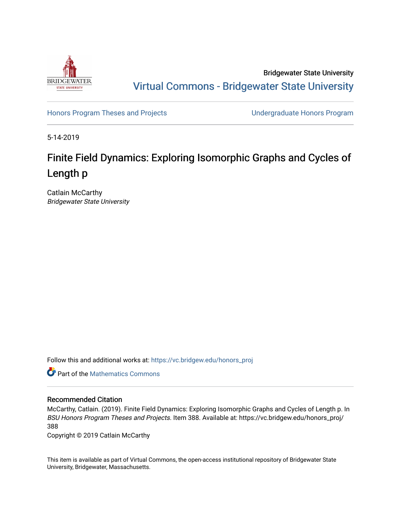

Bridgewater State University [Virtual Commons - Bridgewater State University](https://vc.bridgew.edu/) 

[Honors Program Theses and Projects](https://vc.bridgew.edu/honors_proj) [Undergraduate Honors Program](https://vc.bridgew.edu/honors) 

5-14-2019

# Finite Field Dynamics: Exploring Isomorphic Graphs and Cycles of Length p

Catlain McCarthy Bridgewater State University

Follow this and additional works at: [https://vc.bridgew.edu/honors\\_proj](https://vc.bridgew.edu/honors_proj?utm_source=vc.bridgew.edu%2Fhonors_proj%2F388&utm_medium=PDF&utm_campaign=PDFCoverPages)



# Recommended Citation

McCarthy, Catlain. (2019). Finite Field Dynamics: Exploring Isomorphic Graphs and Cycles of Length p. In BSU Honors Program Theses and Projects. Item 388. Available at: https://vc.bridgew.edu/honors\_proj/ 388

Copyright © 2019 Catlain McCarthy

This item is available as part of Virtual Commons, the open-access institutional repository of Bridgewater State University, Bridgewater, Massachusetts.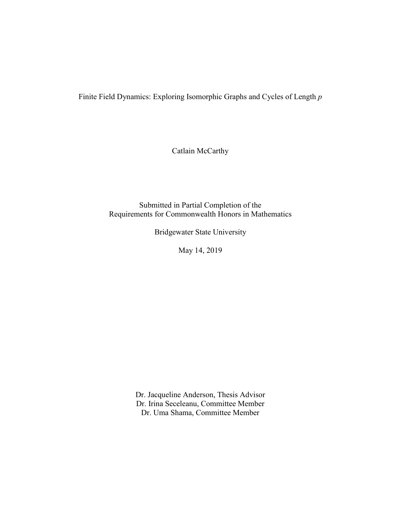Finite Field Dynamics: Exploring Isomorphic Graphs and Cycles of Length *p*

Catlain McCarthy

Submitted in Partial Completion of the Requirements for Commonwealth Honors in Mathematics

Bridgewater State University

May 14, 2019

Dr. Jacqueline Anderson, Thesis Advisor Dr. Irina Seceleanu, Committee Member Dr. Uma Shama, Committee Member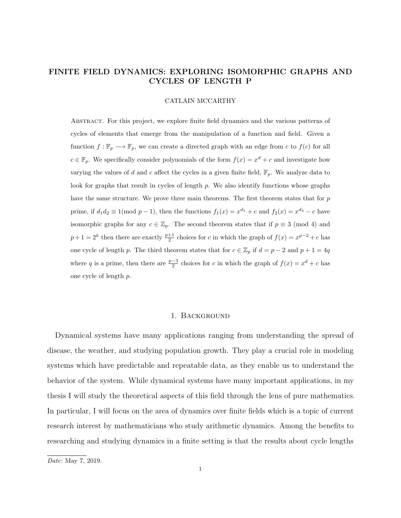# FINITE FIELD DYNAMICS: EXPLORING ISOMORPHIC GRAPHS AND CYCLES OF LENGTH P

#### CATLAIN MCCARTHY

Abstract. For this project, we explore finite field dynamics and the various patterns of cycles of elements that emerge from the manipulation of a function and field. Given a function  $f: \mathbb{F}_p \longrightarrow \mathbb{F}_p$ , we can create a directed graph with an edge from c to  $f(c)$  for all  $c \in \mathbb{F}_p$ . We specifically consider polynomials of the form  $f(x) = x^d + c$  and investigate how varying the values of d and c affect the cycles in a given finite field,  $\mathbb{F}_p$ . We analyze data to look for graphs that result in cycles of length  $p$ . We also identify functions whose graphs have the same structure. We prove three main theorems. The first theorem states that for p prime, if  $d_1 d_2 \equiv 1 \pmod{p-1}$ , then the functions  $f_1(x) = x^{d_1} + c$  and  $f_2(x) = x^{d_2} - c$  have isomorphic graphs for any  $c \in \mathbb{Z}_p$ . The second theorem states that if  $p \equiv 3 \pmod{4}$  and  $p+1=2^k$  then there are exactly  $\frac{p+1}{2}$  choices for c in which the graph of  $f(x)=x^{p-2}+c$  has one cycle of length p. The third theorem states that for  $c \in \mathbb{Z}_p$  if  $d = p - 2$  and  $p + 1 = 4q$ where q is a prime, then there are  $\frac{p-3}{2}$  choices for c in which the graph of  $f(x) = x^d + c$  has one cycle of length p.

## 1. Background

Dynamical systems have many applications ranging from understanding the spread of disease, the weather, and studying population growth. They play a crucial role in modeling systems which have predictable and repeatable data, as they enable us to understand the behavior of the system. While dynamical systems have many important applications, in my thesis I will study the theoretical aspects of this field through the lens of pure mathematics. In particular, I will focus on the area of dynamics over finite fields which is a topic of current research interest by mathematicians who study arithmetic dynamics. Among the benefits to researching and studying dynamics in a finite setting is that the results about cycle lengths

Date: May 7, 2019.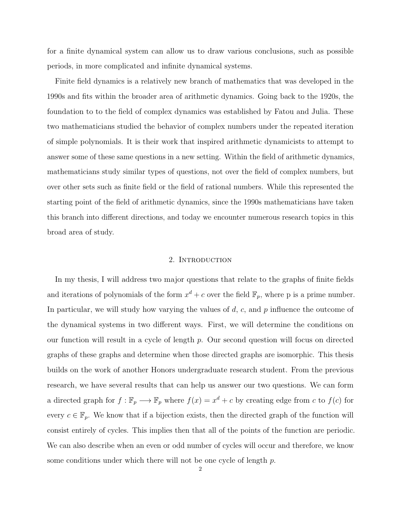for a finite dynamical system can allow us to draw various conclusions, such as possible periods, in more complicated and infinite dynamical systems.

Finite field dynamics is a relatively new branch of mathematics that was developed in the 1990s and fits within the broader area of arithmetic dynamics. Going back to the 1920s, the foundation to to the field of complex dynamics was established by Fatou and Julia. These two mathematicians studied the behavior of complex numbers under the repeated iteration of simple polynomials. It is their work that inspired arithmetic dynamicists to attempt to answer some of these same questions in a new setting. Within the field of arithmetic dynamics, mathematicians study similar types of questions, not over the field of complex numbers, but over other sets such as finite field or the field of rational numbers. While this represented the starting point of the field of arithmetic dynamics, since the 1990s mathematicians have taken this branch into different directions, and today we encounter numerous research topics in this broad area of study.

#### 2. INTRODUCTION

In my thesis, I will address two major questions that relate to the graphs of finite fields and iterations of polynomials of the form  $x^d + c$  over the field  $\mathbb{F}_p$ , where p is a prime number. In particular, we will study how varying the values of  $d, c$ , and  $p$  influence the outcome of the dynamical systems in two different ways. First, we will determine the conditions on our function will result in a cycle of length  $p$ . Our second question will focus on directed graphs of these graphs and determine when those directed graphs are isomorphic. This thesis builds on the work of another Honors undergraduate research student. From the previous research, we have several results that can help us answer our two questions. We can form a directed graph for  $f : \mathbb{F}_p \longrightarrow \mathbb{F}_p$  where  $f(x) = x^d + c$  by creating edge from c to  $f(c)$  for every  $c \in \mathbb{F}_p$ . We know that if a bijection exists, then the directed graph of the function will consist entirely of cycles. This implies then that all of the points of the function are periodic. We can also describe when an even or odd number of cycles will occur and therefore, we know some conditions under which there will not be one cycle of length p.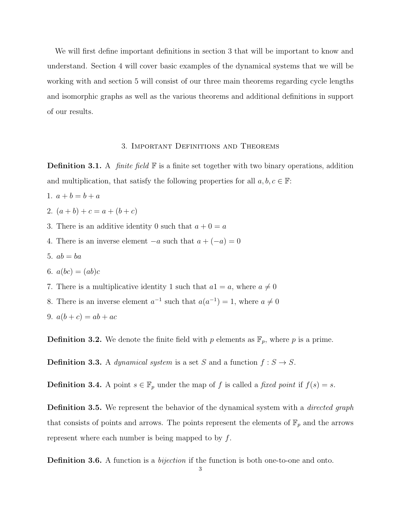We will first define important definitions in section 3 that will be important to know and understand. Section 4 will cover basic examples of the dynamical systems that we will be working with and section 5 will consist of our three main theorems regarding cycle lengths and isomorphic graphs as well as the various theorems and additional definitions in support of our results.

## 3. Important Definitions and Theorems

**Definition 3.1.** A *finite field*  $\mathbb{F}$  is a finite set together with two binary operations, addition and multiplication, that satisfy the following properties for all  $a, b, c \in \mathbb{F}$ :

- 1.  $a + b = b + a$
- 2.  $(a + b) + c = a + (b + c)$
- 3. There is an additive identity 0 such that  $a + 0 = a$
- 4. There is an inverse element  $-a$  such that  $a + (-a) = 0$
- 5.  $ab = ba$
- 6.  $a(bc) = (ab)c$
- 7. There is a multiplicative identity 1 such that  $a1 = a$ , where  $a \neq 0$
- 8. There is an inverse element  $a^{-1}$  such that  $a(a^{-1}) = 1$ , where  $a \neq 0$
- 9.  $a(b + c) = ab + ac$

**Definition 3.2.** We denote the finite field with p elements as  $\mathbb{F}_p$ , where p is a prime.

**Definition 3.3.** A *dynamical system* is a set S and a function  $f : S \to S$ .

**Definition 3.4.** A point  $s \in \mathbb{F}_p$  under the map of f is called a fixed point if  $f(s) = s$ .

**Definition 3.5.** We represent the behavior of the dynamical system with a *directed graph* that consists of points and arrows. The points represent the elements of  $\mathbb{F}_p$  and the arrows represent where each number is being mapped to by  $f$ .

**Definition 3.6.** A function is a *bijection* if the function is both one-to-one and onto.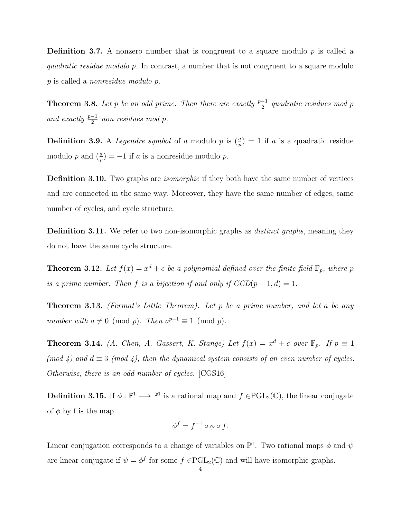**Definition 3.7.** A nonzero number that is congruent to a square modulo  $p$  is called a quadratic residue modulo p. In contrast, a number that is not congruent to a square modulo p is called a nonresidue modulo p.

**Theorem 3.8.** Let p be an odd prime. Then there are exactly  $\frac{p-1}{2}$  quadratic residues mod p and exactly  $\frac{p-1}{2}$  non residues mod p.

**Definition 3.9.** A *Legendre symbol* of a modulo p is  $(\frac{a}{p}) = 1$  if a is a quadratic residue modulo p and  $\left(\frac{a}{p}\right) = -1$  if a is a nonresidue modulo p.

**Definition 3.10.** Two graphs are *isomorphic* if they both have the same number of vertices and are connected in the same way. Moreover, they have the same number of edges, same number of cycles, and cycle structure.

**Definition 3.11.** We refer to two non-isomorphic graphs as *distinct graphs*, meaning they do not have the same cycle structure.

**Theorem 3.12.** Let  $f(x) = x^d + c$  be a polynomial defined over the finite field  $\mathbb{F}_p$ , where p is a prime number. Then f is a bijection if and only if  $GCD(p-1, d) = 1$ .

**Theorem 3.13.** (Fermat's Little Theorem). Let p be a prime number, and let a be any number with  $a \neq 0 \pmod{p}$ . Then  $a^{p-1} \equiv 1 \pmod{p}$ .

**Theorem 3.14.** (A. Chen, A. Gassert, K. Stange) Let  $f(x) = x^d + c$  over  $\mathbb{F}_p$ . If  $p \equiv 1$ (mod 4) and  $d \equiv 3 \pmod{4}$ , then the dynamical system consists of an even number of cycles. Otherwise, there is an odd number of cycles. [CGS16]

**Definition 3.15.** If  $\phi: \mathbb{P}^1 \longrightarrow \mathbb{P}^1$  is a rational map and  $f \in \text{PGL}_2(\mathbb{C})$ , the linear conjugate of  $\phi$  by f is the map

$$
\phi^f = f^{-1} \circ \phi \circ f.
$$

Linear conjugation corresponds to a change of variables on  $\mathbb{P}^1$ . Two rational maps  $\phi$  and  $\psi$ are linear conjugate if  $\psi = \phi^f$  for some  $f \in \text{PGL}_2(\mathbb{C})$  and will have isomorphic graphs.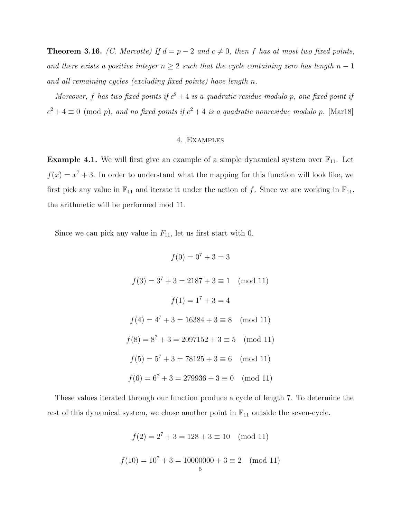**Theorem 3.16.** (C. Marcotte) If  $d = p - 2$  and  $c \neq 0$ , then f has at most two fixed points, and there exists a positive integer  $n \geq 2$  such that the cycle containing zero has length  $n-1$ and all remaining cycles (excluding fixed points) have length n.

Moreover, f has two fixed points if  $c^2 + 4$  is a quadratic residue modulo p, one fixed point if  $c^2 + 4 \equiv 0 \pmod{p}$ , and no fixed points if  $c^2 + 4$  is a quadratic nonresidue modulo p. [Mar18]

## 4. Examples

**Example 4.1.** We will first give an example of a simple dynamical system over  $\mathbb{F}_{11}$ . Let  $f(x) = x^7 + 3$ . In order to understand what the mapping for this function will look like, we first pick any value in  $\mathbb{F}_{11}$  and iterate it under the action of f. Since we are working in  $\mathbb{F}_{11}$ , the arithmetic will be performed mod 11.

Since we can pick any value in  $F_{11}$ , let us first start with 0.

$$
f(0) = 0^7 + 3 = 3
$$
  

$$
f(3) = 3^7 + 3 = 2187 + 3 \equiv 1 \pmod{11}
$$
  

$$
f(1) = 1^7 + 3 = 4
$$
  

$$
f(4) = 4^7 + 3 = 16384 + 3 \equiv 8 \pmod{11}
$$
  

$$
f(8) = 8^7 + 3 = 2097152 + 3 \equiv 5 \pmod{11}
$$
  

$$
f(5) = 5^7 + 3 = 78125 + 3 \equiv 6 \pmod{11}
$$
  

$$
f(6) = 6^7 + 3 = 279936 + 3 \equiv 0 \pmod{11}
$$

These values iterated through our function produce a cycle of length 7. To determine the rest of this dynamical system, we chose another point in  $\mathbb{F}_{11}$  outside the seven-cycle.

$$
f(2) = 27 + 3 = 128 + 3 \equiv 10 \pmod{11}
$$

$$
f(10) = 107 + 3 = 10000000 + 3 \equiv 2 \pmod{11}
$$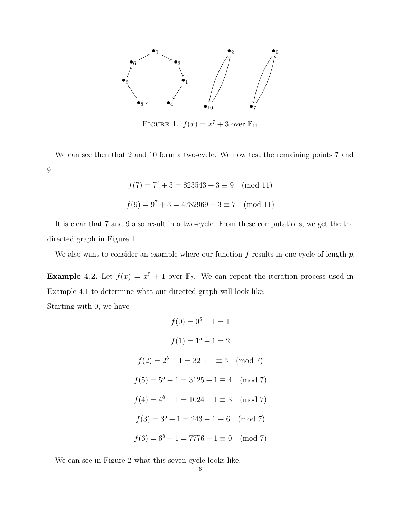

FIGURE 1.  $f(x) = x^7 + 3$  over  $\mathbb{F}_{11}$ 

We can see then that 2 and 10 form a two-cycle. We now test the remaining points 7 and 9.

$$
f(7) = 77 + 3 = 823543 + 3 \equiv 9 \pmod{11}
$$

$$
f(9) = 97 + 3 = 4782969 + 3 \equiv 7 \pmod{11}
$$

It is clear that 7 and 9 also result in a two-cycle. From these computations, we get the the directed graph in Figure 1

We also want to consider an example where our function  $f$  results in one cycle of length  $p$ .

**Example 4.2.** Let  $f(x) = x^5 + 1$  over  $\mathbb{F}_7$ . We can repeat the iteration process used in Example 4.1 to determine what our directed graph will look like.

Starting with 0, we have

 $f(0) = 0^5 + 1 = 1$  $f(1) = 1^5 + 1 = 2$  $f(2) = 2^5 + 1 = 32 + 1 \equiv 5 \pmod{7}$  $f(5) = 5^5 + 1 = 3125 + 1 \equiv 4 \pmod{7}$  $f(4) = 4^5 + 1 = 1024 + 1 \equiv 3 \pmod{7}$  $f(3) = 3^5 + 1 = 243 + 1 \equiv 6 \pmod{7}$  $f(6) = 6^5 + 1 = 7776 + 1 \equiv 0 \pmod{7}$ 

We can see in Figure 2 what this seven-cycle looks like.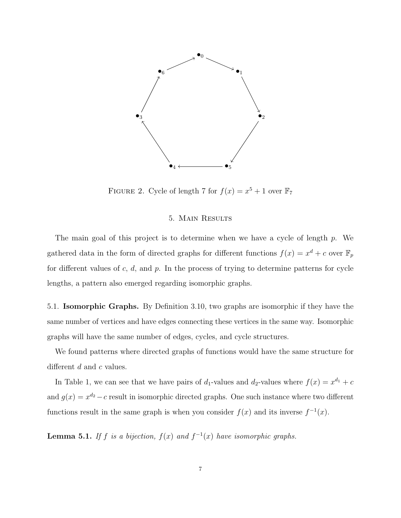

FIGURE 2. Cycle of length 7 for  $f(x) = x^5 + 1$  over  $\mathbb{F}_7$ 

#### 5. Main Results

The main goal of this project is to determine when we have a cycle of length p. We gathered data in the form of directed graphs for different functions  $f(x) = x^d + c$  over  $\mathbb{F}_p$ for different values of  $c, d$ , and  $p$ . In the process of trying to determine patterns for cycle lengths, a pattern also emerged regarding isomorphic graphs.

5.1. Isomorphic Graphs. By Definition 3.10, two graphs are isomorphic if they have the same number of vertices and have edges connecting these vertices in the same way. Isomorphic graphs will have the same number of edges, cycles, and cycle structures.

We found patterns where directed graphs of functions would have the same structure for different  $d$  and  $c$  values.

In Table 1, we can see that we have pairs of  $d_1$ -values and  $d_2$ -values where  $f(x) = x^{d_1} + c$ and  $g(x) = x^{d_2} - c$  result in isomorphic directed graphs. One such instance where two different functions result in the same graph is when you consider  $f(x)$  and its inverse  $f^{-1}(x)$ .

**Lemma 5.1.** If f is a bijection,  $f(x)$  and  $f^{-1}(x)$  have isomorphic graphs.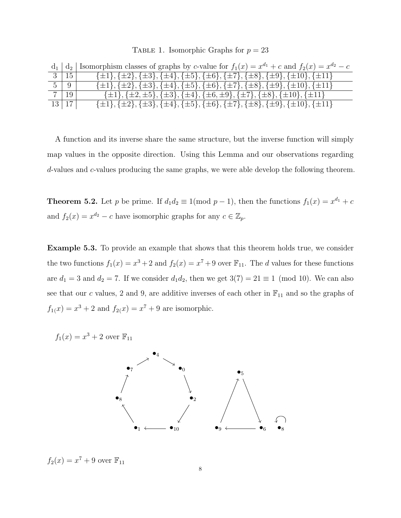|  | TABLE 1. Isomorphic Graphs for $p = 23$ |  |  |
|--|-----------------------------------------|--|--|
|--|-----------------------------------------|--|--|

|            | $d_1   d_2  $ Isomorphism classes of graphs by c-value for $f_1(x) = x^{d_1} + c$ and $f_2(x) = x^{d_2} - c$                |
|------------|-----------------------------------------------------------------------------------------------------------------------------|
| 15         | $\{\pm 1\}, \{\pm 2\}, \{\pm 3\}, \{\pm 4\}, \{\pm 5\}, \{\pm 6\}, \{\pm 7\}, \{\pm 8\}, \{\pm 9\}, \{\pm 10\}, \{\pm 11\}$ |
| $5 \mid 9$ | $\{\pm 1\}, \{\pm 2\}, \{\pm 3\}, \{\pm 4\}, \{\pm 5\}, \{\pm 6\}, \{\pm 7\}, \{\pm 8\}, \{\pm 9\}, \{\pm 10\}, \{\pm 11\}$ |
| 7   19     | $\{\pm 1\}, \{\pm 2, \pm 5\}, \{\pm 3\}, \{\pm 4\}, \{\pm 6, \pm 9\}, \{\pm 7\}, \{\pm 8\}, \{\pm 10\}, \{\pm 11\}$         |
| 13 17      | $\{\pm 1\}, \{\pm 2\}, \{\pm 3\}, \{\pm 4\}, \{\pm 5\}, \{\pm 6\}, \{\pm 7\}, \{\pm 8\}, \{\pm 9\}, \{\pm 10\}, \{\pm 11\}$ |

A function and its inverse share the same structure, but the inverse function will simply map values in the opposite direction. Using this Lemma and our observations regarding d-values and c-values producing the same graphs, we were able develop the following theorem.

**Theorem 5.2.** Let p be prime. If  $d_1 d_2 \equiv 1 \pmod{p-1}$ , then the functions  $f_1(x) = x^{d_1} + c$ and  $f_2(x) = x^{d_2} - c$  have isomorphic graphs for any  $c \in \mathbb{Z}_p$ .

Example 5.3. To provide an example that shows that this theorem holds true, we consider the two functions  $f_1(x) = x^3 + 2$  and  $f_2(x) = x^7 + 9$  over  $\mathbb{F}_{11}$ . The d values for these functions are  $d_1 = 3$  and  $d_2 = 7$ . If we consider  $d_1 d_2$ , then we get  $3(7) = 21 \equiv 1 \pmod{10}$ . We can also see that our c values, 2 and 9, are additive inverses of each other in  $\mathbb{F}_{11}$  and so the graphs of  $f_{1}(x) = x^{3} + 2$  and  $f_{2}(x) = x^{7} + 9$  are isomorphic.

 $f_1(x) = x^3 + 2$  over  $\mathbb{F}_{11}$ 



 $f_2(x) = x^7 + 9$  over  $\mathbb{F}_{11}$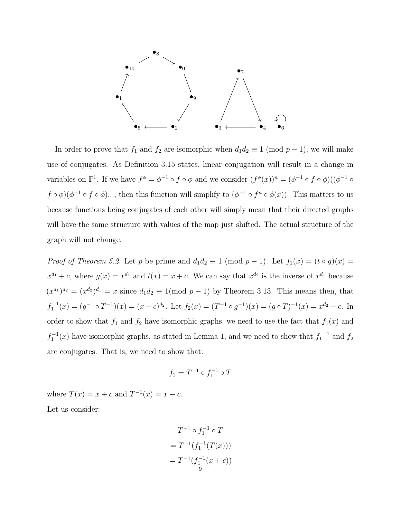

In order to prove that  $f_1$  and  $f_2$  are isomorphic when  $d_1d_2 \equiv 1 \pmod{p-1}$ , we will make use of conjugates. As Definition 3.15 states, linear conjugation will result in a change in variables on  $\mathbb{P}^1$ . If we have  $f^{\phi} = \phi^{-1} \circ f \circ \phi$  and we consider  $(f^{\phi}(x))^n = (\phi^{-1} \circ f \circ \phi)((\phi^{-1} \circ f \circ \phi))$  $f \circ \phi$ )( $\phi^{-1} \circ f \circ \phi$ )..., then this function will simplify to  $(\phi^{-1} \circ f^n \circ \phi(x))$ . This matters to us because functions being conjugates of each other will simply mean that their directed graphs will have the same structure with values of the map just shifted. The actual structure of the graph will not change.

*Proof of Theorem 5.2.* Let p be prime and  $d_1d_2 \equiv 1 \pmod{p-1}$ . Let  $f_1(x) = (t \circ g)(x) =$  $x^{d_1} + c$ , where  $g(x) = x^{d_1}$  and  $t(x) = x + c$ . We can say that  $x^{d_2}$  is the inverse of  $x^{d_1}$  because  $(x^{d_1})^{d_2} = (x^{d_2})^{d_1} = x$  since  $d_1 d_2 \equiv 1 \pmod{p-1}$  by Theorem 3.13. This means then, that  $f_1^{-1}(x) = (g^{-1} \circ T^{-1})(x) = (x - c)^{d_2}$ . Let  $f_2(x) = (T^{-1} \circ g^{-1})(x) = (g \circ T)^{-1}(x) = x^{d_2} - c$ . In order to show that  $f_1$  and  $f_2$  have isomorphic graphs, we need to use the fact that  $f_1(x)$  and  $f_1^{-1}(x)$  have isomorphic graphs, as stated in Lemma 1, and we need to show that  $f_1^{-1}$  and  $f_2$ are conjugates. That is, we need to show that:

$$
f_2 = T^{-1} \circ f_1^{-1} \circ T
$$

where  $T(x) = x + c$  and  $T^{-1}(x) = x - c$ .

Let us consider:

$$
T^{-1} \circ f_1^{-1} \circ T
$$
  
=  $T^{-1}(f_1^{-1}(T(x)))$   
=  $T^{-1}(f_1^{-1}(x + c))$   
<sup>9</sup>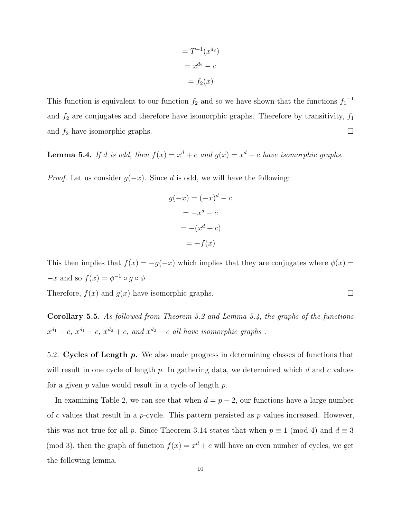$$
= T^{-1}(x^{d_2})
$$

$$
= x^{d_2} - c
$$

$$
= f_2(x)
$$

This function is equivalent to our function  $f_2$  and so we have shown that the functions  $f_1^{-1}$ and  $f_2$  are conjugates and therefore have isomorphic graphs. Therefore by transitivity,  $f_1$ and  $f_2$  have isomorphic graphs.

**Lemma 5.4.** If d is odd, then  $f(x) = x^d + c$  and  $g(x) = x^d - c$  have isomorphic graphs.

*Proof.* Let us consider  $g(-x)$ . Since d is odd, we will have the following:

$$
g(-x) = (-x)^d - c
$$

$$
= -x^d - c
$$

$$
= -(x^d + c)
$$

$$
= -f(x)
$$

This then implies that  $f(x) = -g(-x)$  which implies that they are conjugates where  $\phi(x) =$  $-x$  and so  $f(x) = \phi^{-1} \circ g \circ \phi$ 

Therefore,  $f(x)$  and  $g(x)$  have isomorphic graphs.

Corollary 5.5. As followed from Theorem 5.2 and Lemma 5.4, the graphs of the functions  $x^{d_1} + c$ ,  $x^{d_1} - c$ ,  $x^{d_2} + c$ , and  $x^{d_2} - c$  all have isomorphic graphs.

5.2. Cycles of Length p. We also made progress in determining classes of functions that will result in one cycle of length  $p$ . In gathering data, we determined which  $d$  and  $c$  values for a given  $p$  value would result in a cycle of length  $p$ .

In examining Table 2, we can see that when  $d = p - 2$ , our functions have a large number of c values that result in a p-cycle. This pattern persisted as  $p$  values increased. However, this was not true for all p. Since Theorem 3.14 states that when  $p \equiv 1 \pmod{4}$  and  $d \equiv 3$ (mod 3), then the graph of function  $f(x) = x<sup>d</sup> + c$  will have an even number of cycles, we get the following lemma.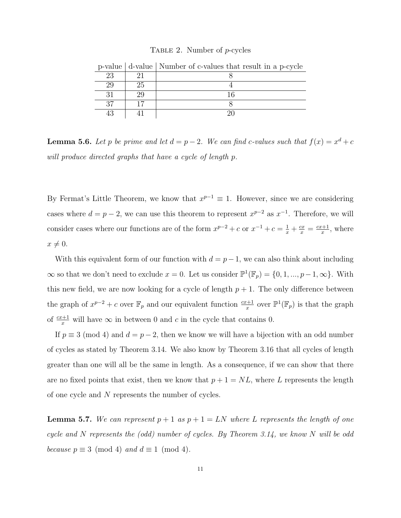#### Table 2. Number of p-cycles

| v  |    | value   a value   Fvalliber of c values that result in a p cycle |
|----|----|------------------------------------------------------------------|
| 23 |    |                                                                  |
| 29 | 25 |                                                                  |
|    | 29 |                                                                  |
| 27 | 17 |                                                                  |
| 43 |    |                                                                  |

p-value  $\vert$  d-value  $\vert$  Number of c-values that result in a p-cycle

**Lemma 5.6.** Let p be prime and let  $d = p - 2$ . We can find c-values such that  $f(x) = x^d + c$ will produce directed graphs that have a cycle of length p.

By Fermat's Little Theorem, we know that  $x^{p-1} \equiv 1$ . However, since we are considering cases where  $d = p - 2$ , we can use this theorem to represent  $x^{p-2}$  as  $x^{-1}$ . Therefore, we will consider cases where our functions are of the form  $x^{p-2} + c$  or  $x^{-1} + c = \frac{1}{x} + \frac{cx}{x} = \frac{cx+1}{x}$  $\frac{x+1}{x}$ , where  $x \neq 0.$ 

With this equivalent form of our function with  $d = p-1$ , we can also think about including  $\infty$  so that we don't need to exclude  $x = 0$ . Let us consider  $\mathbb{P}^1(\mathbb{F}_p) = \{0, 1, ..., p-1, \infty\}$ . With this new field, we are now looking for a cycle of length  $p + 1$ . The only difference between the graph of  $x^{p-2} + c$  over  $\mathbb{F}_p$  and our equivalent function  $\frac{cx+1}{x}$  over  $\mathbb{P}^1(\mathbb{F}_p)$  is that the graph of  $\frac{cx+1}{x}$  will have  $\infty$  in between 0 and c in the cycle that contains 0.

If  $p \equiv 3 \pmod{4}$  and  $d = p - 2$ , then we know we will have a bijection with an odd number of cycles as stated by Theorem 3.14. We also know by Theorem 3.16 that all cycles of length greater than one will all be the same in length. As a consequence, if we can show that there are no fixed points that exist, then we know that  $p + 1 = NL$ , where L represents the length of one cycle and N represents the number of cycles.

**Lemma 5.7.** We can represent  $p + 1$  as  $p + 1 = LN$  where L represents the length of one cycle and N represents the (odd) number of cycles. By Theorem 3.14, we know N will be odd because  $p \equiv 3 \pmod{4}$  and  $d \equiv 1 \pmod{4}$ .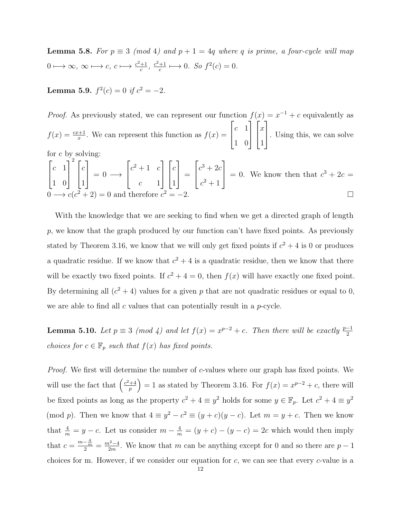**Lemma 5.8.** For  $p \equiv 3 \pmod{4}$  and  $p + 1 = 4q$  where q is prime, a four-cycle will map  $0 \longmapsto \infty, \infty \longmapsto c, c \longmapsto \frac{c^2+1}{c}$  $\frac{+1}{c}, \frac{c^2+1}{c}$  $\frac{+1}{c} \longmapsto 0$ . So  $f^2(c) = 0$ .

**Lemma 5.9.**  $f^2(c) = 0$  if  $c^2 = -2$ .

*Proof.* As previously stated, we can represent our function  $f(x) = x^{-1} + c$  equivalently as  $f(x) = \frac{cx+1}{x}$ . We can represent this function as  $f(x) =$  $\sqrt{ }$  $\overline{1}$  $c<sub>-1</sub>$ 1 0 1  $\overline{1}$  $\sqrt{ }$  $\overline{1}$  $\boldsymbol{x}$ 1 1 . Using this, we can solve for c by solving:

$$
\begin{bmatrix} c & 1 \\ 1 & 0 \end{bmatrix}^2 \begin{bmatrix} c \\ 1 \end{bmatrix} = 0 \longrightarrow \begin{bmatrix} c^2 + 1 & c \\ c & 1 \end{bmatrix} \begin{bmatrix} c \\ 1 \end{bmatrix} = \begin{bmatrix} c^3 + 2c \\ c^2 + 1 \end{bmatrix} = 0.
$$
 We know then that  $c^3 + 2c = 0 \longrightarrow c(c^2 + 2) = 0$  and therefore  $c^2 = -2$ .

With the knowledge that we are seeking to find when we get a directed graph of length  $p$ , we know that the graph produced by our function can't have fixed points. As previously stated by Theorem 3.16, we know that we will only get fixed points if  $c^2 + 4$  is 0 or produces a quadratic residue. If we know that  $c^2 + 4$  is a quadratic residue, then we know that there will be exactly two fixed points. If  $c^2 + 4 = 0$ , then  $f(x)$  will have exactly one fixed point. By determining all  $(c^2 + 4)$  values for a given p that are not quadratic residues or equal to 0, we are able to find all  $c$  values that can potentially result in a  $p$ -cycle.

**Lemma 5.10.** Let  $p \equiv 3 \pmod{4}$  and let  $f(x) = x^{p-2} + c$ . Then there will be exactly  $\frac{p-1}{2}$ choices for  $c \in \mathbb{F}_p$  such that  $f(x)$  has fixed points.

Proof. We first will determine the number of c-values where our graph has fixed points. We will use the fact that  $\left(\frac{c^2+4}{n}\right)$  $\left(\frac{+4}{p}\right) = 1$  as stated by Theorem 3.16. For  $f(x) = x^{p-2} + c$ , there will be fixed points as long as the property  $c^2 + 4 \equiv y^2$  holds for some  $y \in \mathbb{F}_p$ . Let  $c^2 + 4 \equiv y^2$ (mod p). Then we know that  $4 \equiv y^2 - c^2 \equiv (y + c)(y - c)$ . Let  $m = y + c$ . Then we know that  $\frac{4}{m} = y - c$ . Let us consider  $m - \frac{4}{m} = (y + c) - (y - c) = 2c$  which would then imply that  $c = \frac{m - \frac{4}{m}}{2} = \frac{m^2 - 4}{2m}$  $\frac{2^{2}-4}{2m}$ . We know that m can be anything except for 0 and so there are  $p-1$ choices for m. However, if we consider our equation for  $c$ , we can see that every c-value is a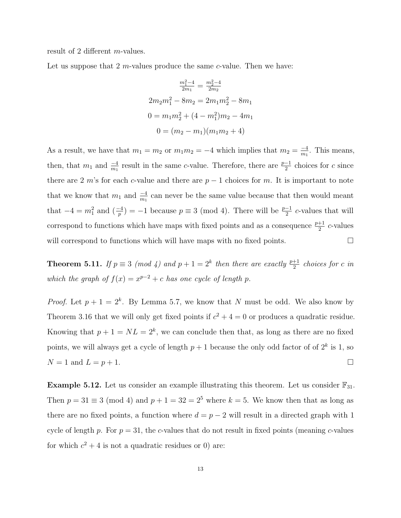result of 2 different m-values.

Let us suppose that  $2m$ -values produce the same  $c$ -value. Then we have:

$$
\frac{m_1^2 - 4}{2m_1} = \frac{m_2^2 - 4}{2m_2}
$$

$$
2m_2m_1^2 - 8m_2 = 2m_1m_2^2 - 8m_1
$$

$$
0 = m_1m_2^2 + (4 - m_1^2)m_2 - 4m_1
$$

$$
0 = (m_2 - m_1)(m_1m_2 + 4)
$$

As a result, we have that  $m_1 = m_2$  or  $m_1 m_2 = -4$  which implies that  $m_2 = \frac{-4}{m_1}$  $\frac{-4}{m_1}$ . This means, then, that  $m_1$  and  $\frac{-4}{m_1}$  result in the same c-value. Therefore, there are  $\frac{p-1}{2}$  choices for c since there are 2 m's for each c-value and there are  $p-1$  choices for m. It is important to note that we know that  $m_1$  and  $\frac{-4}{m_1}$  can never be the same value because that then would meant that  $-4 = m_1^2$  and  $\left(\frac{-4}{p}\right) = -1$  because  $p \equiv 3 \pmod{4}$ . There will be  $\frac{p-1}{2}$  c-values that will correspond to functions which have maps with fixed points and as a consequence  $\frac{p+1}{2}$  c-values will correspond to functions which will have maps with no fixed points.  $\Box$ 

**Theorem 5.11.** If  $p \equiv 3 \pmod{4}$  and  $p + 1 = 2^k$  then there are exactly  $\frac{p+1}{2}$  choices for c in which the graph of  $f(x) = x^{p-2} + c$  has one cycle of length p.

*Proof.* Let  $p + 1 = 2^k$ . By Lemma 5.7, we know that N must be odd. We also know by Theorem 3.16 that we will only get fixed points if  $c^2 + 4 = 0$  or produces a quadratic residue. Knowing that  $p + 1 = NL = 2<sup>k</sup>$ , we can conclude then that, as long as there are no fixed points, we will always get a cycle of length  $p+1$  because the only odd factor of of  $2^k$  is 1, so  $N = 1$  and  $L = p + 1$ .

**Example 5.12.** Let us consider an example illustrating this theorem. Let us consider  $\mathbb{F}_{31}$ . Then  $p = 31 \equiv 3 \pmod{4}$  and  $p + 1 = 32 = 2^5$  where  $k = 5$ . We know then that as long as there are no fixed points, a function where  $d = p - 2$  will result in a directed graph with 1 cycle of length p. For  $p = 31$ , the c-values that do not result in fixed points (meaning c-values for which  $c^2 + 4$  is not a quadratic residues or 0) are: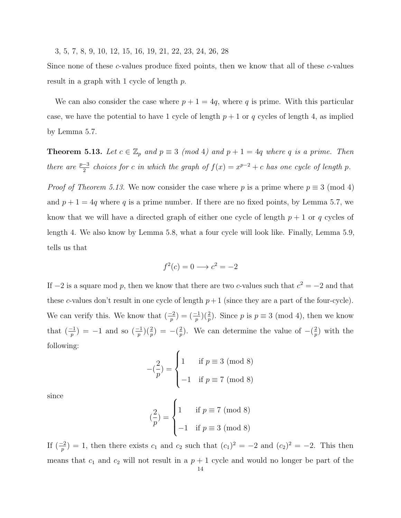3, 5, 7, 8, 9, 10, 12, 15, 16, 19, 21, 22, 23, 24, 26, 28

Since none of these c-values produce fixed points, then we know that all of these c-values result in a graph with 1 cycle of length p.

We can also consider the case where  $p + 1 = 4q$ , where q is prime. With this particular case, we have the potential to have 1 cycle of length  $p + 1$  or q cycles of length 4, as implied by Lemma 5.7.

**Theorem 5.13.** Let  $c \in \mathbb{Z}_p$  and  $p \equiv 3 \pmod{4}$  and  $p + 1 = 4q$  where q is a prime. Then there are  $\frac{p-3}{2}$  choices for c in which the graph of  $f(x) = x^{p-2} + c$  has one cycle of length p.

*Proof of Theorem 5.13.* We now consider the case where p is a prime where  $p \equiv 3 \pmod{4}$ and  $p + 1 = 4q$  where q is a prime number. If there are no fixed points, by Lemma 5.7, we know that we will have a directed graph of either one cycle of length  $p + 1$  or q cycles of length 4. We also know by Lemma 5.8, what a four cycle will look like. Finally, Lemma 5.9, tells us that

$$
f^2(c) = 0 \longrightarrow c^2 = -2
$$

If  $-2$  is a square mod p, then we know that there are two c-values such that  $c^2 = -2$  and that these c-values don't result in one cycle of length  $p+1$  (since they are a part of the four-cycle). We can verify this. We know that  $\left(\frac{-2}{p}\right) = \left(\frac{-1}{p}\right)\left(\frac{2}{p}\right)$ . Since p is  $p \equiv 3 \pmod{4}$ , then we know that  $\left(\frac{-1}{p}\right) = -1$  and so  $\left(\frac{-1}{p}\right)\left(\frac{2}{p}\right) = -\left(\frac{2}{p}\right)$  $\frac{2}{p}$ ). We can determine the value of  $-\left(\frac{2}{p}\right)$  $_p^2$ ) with the following:

$$
-(\frac{2}{p}) = \begin{cases} 1 & \text{if } p \equiv 3 \pmod{8} \\ -1 & \text{if } p \equiv 7 \pmod{8} \end{cases}
$$

since

$$
\binom{2}{p} = \begin{cases} 1 & \text{if } p \equiv 7 \pmod{8} \\ -1 & \text{if } p \equiv 3 \pmod{8} \end{cases}
$$

If  $\left(\frac{-2}{p}\right) = 1$ , then there exists  $c_1$  and  $c_2$  such that  $(c_1)^2 = -2$  and  $(c_2)^2 = -2$ . This then means that  $c_1$  and  $c_2$  will not result in a  $p + 1$  cycle and would no longer be part of the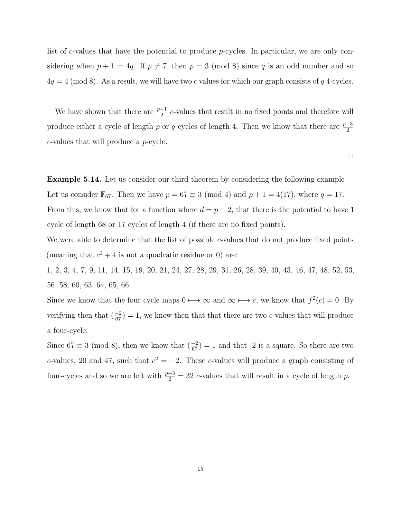list of c-values that have the potential to produce p-cycles. In particular, we are only considering when  $p + 1 = 4q$ . If  $p \neq 7$ , then  $p = 3 \pmod{8}$  since q is an odd number and so  $4q = 4 \pmod{8}$ . As a result, we will have two c values for which our graph consists of q 4-cycles.

We have shown that there are  $\frac{p+1}{2}$  c-values that result in no fixed points and therefore will produce either a cycle of length p or q cycles of length 4. Then we know that there are  $\frac{p-3}{2}$ c-values that will produce a p-cycle.

 $\Box$ 

Example 5.14. Let us consider our third theorem by considering the following example Let us consider  $\mathbb{F}_{67}$ . Then we have  $p = 67 \equiv 3 \pmod{4}$  and  $p + 1 = 4(17)$ , where  $q = 17$ . From this, we know that for a function where  $d = p - 2$ , that there is the potential to have 1 cycle of length 68 or 17 cycles of length 4 (if there are no fixed points).

We were able to determine that the list of possible c-values that do not produce fixed points (meaning that  $c^2 + 4$  is not a quadratic residue or 0) are:

1, 2, 3, 4, 7, 9, 11, 14, 15, 19, 20, 21, 24, 27, 28, 29, 31, 26, 28, 39, 40, 43, 46, 47, 48, 52, 53, 56, 58, 60, 63, 64, 65, 66

Since we know that the four cycle maps  $0 \mapsto \infty$  and  $\infty \mapsto c$ , we know that  $f^2(c) = 0$ . By verifying then that  $\left(\frac{-2}{67}\right) = 1$ , we know then that that there are two c-values that will produce a four-cycle.

Since  $67 \equiv 3 \pmod{8}$ , then we know that  $\left(\frac{-2}{67}\right) = 1$  and that -2 is a square. So there are two c-values, 20 and 47, such that  $c^2 = -2$ . These c-values will produce a graph consisting of four-cycles and so we are left with  $\frac{p-3}{2} = 32$  c-values that will result in a cycle of length p.